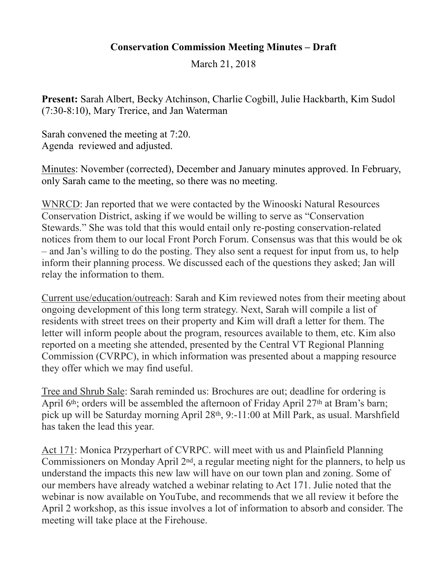## **Conservation Commission Meeting Minutes – Draft**

March 21, 2018

**Present:** Sarah Albert, Becky Atchinson, Charlie Cogbill, Julie Hackbarth, Kim Sudol (7:30-8:10), Mary Trerice, and Jan Waterman

Sarah convened the meeting at 7:20. Agenda reviewed and adjusted.

Minutes: November (corrected), December and January minutes approved. In February, only Sarah came to the meeting, so there was no meeting.

WNRCD: Jan reported that we were contacted by the Winooski Natural Resources Conservation District, asking if we would be willing to serve as "Conservation Stewards." She was told that this would entail only re-posting conservation-related notices from them to our local Front Porch Forum. Consensus was that this would be ok – and Jan's willing to do the posting. They also sent a request for input from us, to help inform their planning process. We discussed each of the questions they asked; Jan will relay the information to them.

Current use/education/outreach: Sarah and Kim reviewed notes from their meeting about ongoing development of this long term strategy. Next, Sarah will compile a list of residents with street trees on their property and Kim will draft a letter for them. The letter will inform people about the program, resources available to them, etc. Kim also reported on a meeting she attended, presented by the Central VT Regional Planning Commission (CVRPC), in which information was presented about a mapping resource they offer which we may find useful.

Tree and Shrub Sale: Sarah reminded us: Brochures are out; deadline for ordering is April 6<sup>th</sup>; orders will be assembled the afternoon of Friday April 27<sup>th</sup> at Bram's barn; pick up will be Saturday morning April 28th, 9:-11:00 at Mill Park, as usual. Marshfield has taken the lead this year.

Act 171: Monica Przyperhart of CVRPC. will meet with us and Plainfield Planning Commissioners on Monday April 2nd, a regular meeting night for the planners, to help us understand the impacts this new law will have on our town plan and zoning. Some of our members have already watched a webinar relating to Act 171. Julie noted that the webinar is now available on YouTube, and recommends that we all review it before the April 2 workshop, as this issue involves a lot of information to absorb and consider. The meeting will take place at the Firehouse.